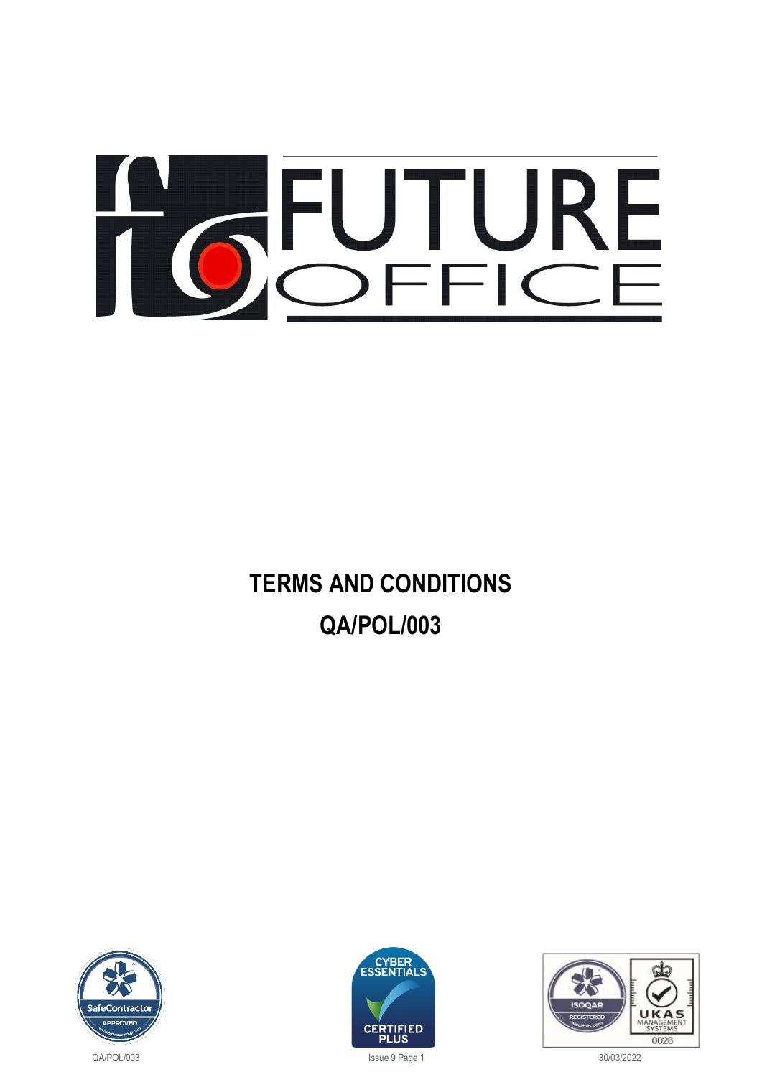# TO SFLURE

# **TERMS AND CONDITIONS QA/POL/003**